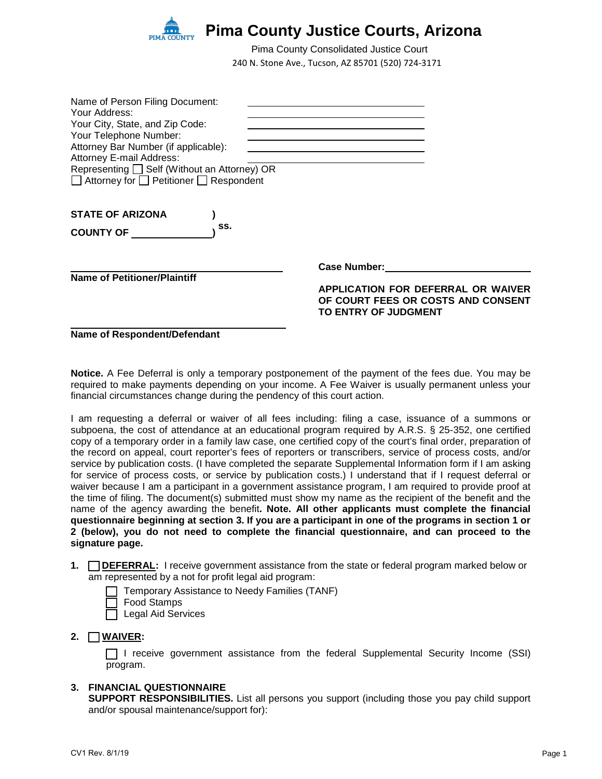

240 N. Stone Ave., Tucson, AZ 85701 (520) 724-3171 Pima County Consolidated Justice Court

| Name of Person Filing Document:                         |                                                                                                         |
|---------------------------------------------------------|---------------------------------------------------------------------------------------------------------|
| Your Address:<br>Your City, State, and Zip Code:        |                                                                                                         |
| Your Telephone Number:                                  |                                                                                                         |
| Attorney Bar Number (if applicable):                    |                                                                                                         |
| <b>Attorney E-mail Address:</b>                         |                                                                                                         |
| Representing □ Self (Without an Attorney) OR            |                                                                                                         |
| $\Box$ Attorney for $\Box$ Petitioner $\Box$ Respondent |                                                                                                         |
| <b>STATE OF ARIZONA</b>                                 |                                                                                                         |
| SS.<br><b>COUNTY OF</b>                                 |                                                                                                         |
|                                                         | <b>Case Number:</b>                                                                                     |
| <b>Name of Petitioner/Plaintiff</b>                     |                                                                                                         |
|                                                         | APPLICATION FOR DEFERRAL OR WAIVER<br>OF COURT FEES OR COSTS AND CONSENT<br><b>TO ENTRY OF JUDGMENT</b> |
|                                                         |                                                                                                         |

**Name of Respondent/Defendant**

**Notice.** A Fee Deferral is only a temporary postponement of the payment of the fees due. You may be required to make payments depending on your income. A Fee Waiver is usually permanent unless your financial circumstances change during the pendency of this court action.

I am requesting a deferral or waiver of all fees including: filing a case, issuance of a summons or subpoena, the cost of attendance at an educational program required by A.R.S. § 25-352, one certified copy of a temporary order in a family law case, one certified copy of the court's final order, preparation of the record on appeal, court reporter's fees of reporters or transcribers, service of process costs, and/or service by publication costs. (I have completed the separate Supplemental Information form if I am asking for service of process costs, or service by publication costs.) I understand that if I request deferral or waiver because I am a participant in a government assistance program, I am required to provide proof at the time of filing. The document(s) submitted must show my name as the recipient of the benefit and the name of the agency awarding the benefit**. Note. All other applicants must complete the financial questionnaire beginning at section 3. If you are a participant in one of the programs in section 1 or 2 (below), you do not need to complete the financial questionnaire, and can proceed to the signature page.** 

**1. IDEFERRAL:** I receive government assistance from the state or federal program marked below or am represented by a not for profit legal aid program:

Temporary Assistance to Needy Families (TANF) Food Stamps

 $\Box$  Legal Aid Services

## **2.** [ ] **WAIVER:**

[ ] I receive government assistance from the federal Supplemental Security Income (SSI) program.

#### **3. FINANCIAL QUESTIONNAIRE**

**SUPPORT RESPONSIBILITIES.** List all persons you support (including those you pay child support and/or spousal maintenance/support for):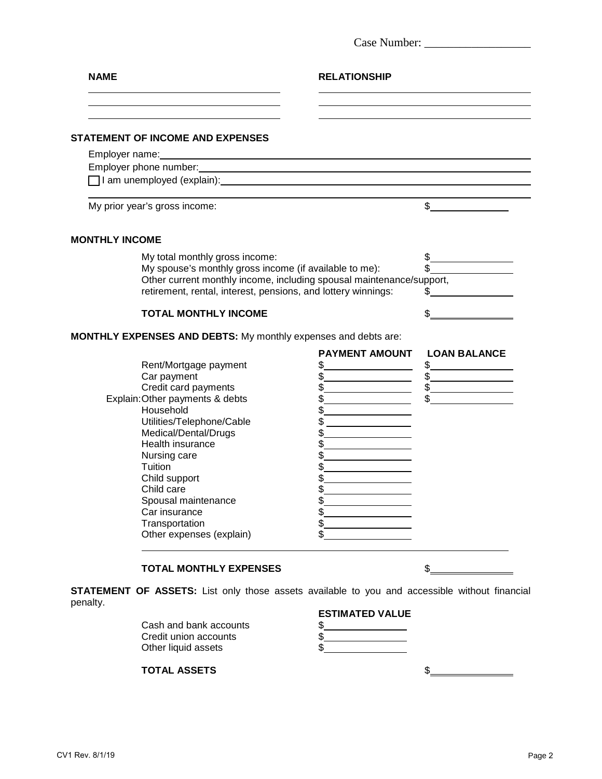| <b>NAME</b>                                                                                                                                                                                                                                                                                                                           | <b>RELATIONSHIP</b>                                                                                                                   |                                                                |
|---------------------------------------------------------------------------------------------------------------------------------------------------------------------------------------------------------------------------------------------------------------------------------------------------------------------------------------|---------------------------------------------------------------------------------------------------------------------------------------|----------------------------------------------------------------|
|                                                                                                                                                                                                                                                                                                                                       |                                                                                                                                       |                                                                |
| <b>STATEMENT OF INCOME AND EXPENSES</b>                                                                                                                                                                                                                                                                                               |                                                                                                                                       |                                                                |
| Employer name: Note and the second contract of the second contract of the second contract of the second contract of the second contract of the second contract of the second contract of the second contract of the second con                                                                                                        |                                                                                                                                       |                                                                |
|                                                                                                                                                                                                                                                                                                                                       |                                                                                                                                       |                                                                |
|                                                                                                                                                                                                                                                                                                                                       |                                                                                                                                       |                                                                |
| My prior year's gross income:                                                                                                                                                                                                                                                                                                         |                                                                                                                                       | $\sim$                                                         |
| <b>MONTHLY INCOME</b>                                                                                                                                                                                                                                                                                                                 |                                                                                                                                       |                                                                |
| My total monthly gross income:<br>My spouse's monthly gross income (if available to me):<br>Other current monthly income, including spousal maintenance/support,<br>retirement, rental, interest, pensions, and lottery winnings:                                                                                                     |                                                                                                                                       | $\frac{1}{2}$<br>S.<br><u> 1990 - Johann Barbara, martin a</u> |
| <b>TOTAL MONTHLY INCOME</b>                                                                                                                                                                                                                                                                                                           |                                                                                                                                       |                                                                |
| <b>MONTHLY EXPENSES AND DEBTS:</b> My monthly expenses and debts are:                                                                                                                                                                                                                                                                 |                                                                                                                                       |                                                                |
| Rent/Mortgage payment<br>Car payment<br>Credit card payments<br>Explain: Other payments & debts<br>Household<br>Utilities/Telephone/Cable<br>Medical/Dental/Drugs<br>Health insurance<br>Nursing care<br>Tuition<br>Child support<br>Child care<br>Spousal maintenance<br>Car insurance<br>Transportation<br>Other expenses (explain) | <b>PAYMENT AMOUNT</b><br>\$<br>\$<br>$\frac{1}{2}$<br>$\frac{1}{2}$<br>\$<br>\$<br>\$<br>\$<br>\$<br>\$<br>\$<br>\$<br>\$<br>\$<br>\$ | <b>LOAN BALANCE</b><br>\$<br>$\frac{1}{2}$<br>$\frac{1}{2}$    |
| <b>TOTAL MONTHLY EXPENSES</b>                                                                                                                                                                                                                                                                                                         |                                                                                                                                       | S                                                              |
| <b>STATEMENT OF ASSETS:</b> List only those assets available to you and accessible without financial<br>penalty.                                                                                                                                                                                                                      | <b>ESTIMATED VALUE</b>                                                                                                                |                                                                |

| Cash and bank accounts |  |
|------------------------|--|
| Credit union accounts  |  |
| Other liquid assets    |  |

| :STIMATED VALUE |  |  |
|-----------------|--|--|
|                 |  |  |
|                 |  |  |

**TOTAL ASSETS** \$